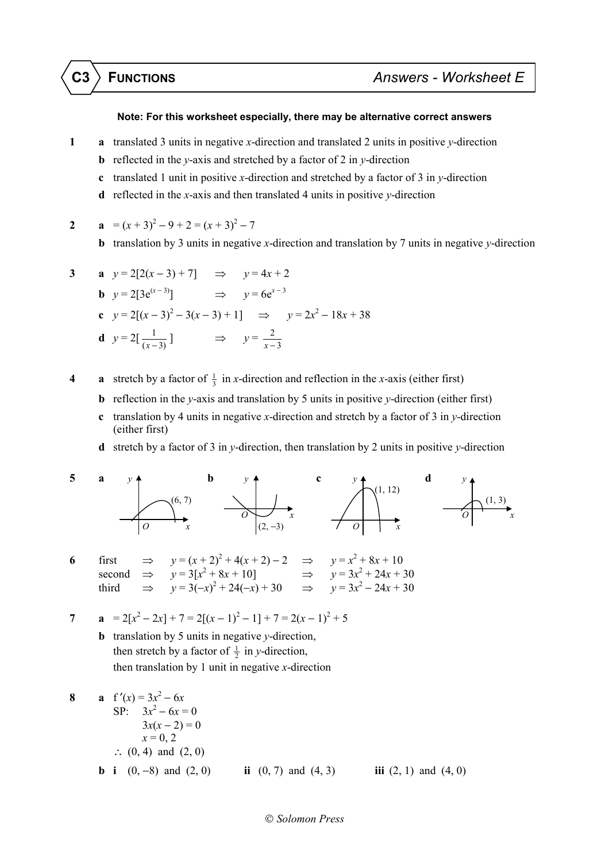## **Note: For this worksheet especially, there may be alternative correct answers**

- **1 a** translated 3 units in negative *x*-direction and translated 2 units in positive *y*-direction
	- **b** reflected in the *y*-axis and stretched by a factor of 2 in *y*-direction
	- **c** translated 1 unit in positive *x*-direction and stretched by a factor of 3 in *y*-direction
	- **d** reflected in the *x*-axis and then translated 4 units in positive *y*-direction

2 **a** 
$$
=(x+3)^2-9+2=(x+3)^2-7
$$

**b** translation by 3 units in negative *x*-direction and translation by 7 units in negative *y*-direction

3 **a** 
$$
y = 2[2(x-3) + 7]
$$
  $\Rightarrow y = 4x + 2$   
\n**b**  $y = 2[3e^{(x-3)}]$   $\Rightarrow y = 6e^{x-3}$   
\n**c**  $y = 2[(x-3)^2 - 3(x-3) + 1]$   $\Rightarrow y = 2x^2 - 18x + 38$   
\n**d**  $y = 2[\frac{1}{(x-3)}]$   $\Rightarrow y = \frac{2}{x-3}$ 

- **4 a** stretch by a factor of  $\frac{1}{3}$  in *x*-direction and reflection in the *x*-axis (either first)
	- **b** reflection in the *y*-axis and translation by 5 units in positive *y*-direction (either first)
	- **c** translation by 4 units in negative *x*-direction and stretch by a factor of 3 in *y*-direction (either first)
	- **d** stretch by a factor of 3 in *y*-direction, then translation by 2 units in positive *y*-direction



**6** first  $\Rightarrow$  *y* = (*x* + 2)<sup>2</sup> + 4(*x* + 2) − 2  $\Rightarrow$  *y* = *x*<sup>2</sup> + 8*x* + 10<br>second  $\Rightarrow$  *y* = 3[*x*<sup>2</sup> + 8*x* + 10]  $\Rightarrow$  *y* = 3*x*<sup>2</sup> + 24*x* + 30  $\mathrm{second} \Rightarrow$ third  $\implies$  *y* = 3(-*x*)<sup>2</sup> + 24(-*x*) + 30  $\implies$  *y* = 3*x*<sup>2</sup> − 24*x* + 30

7 **a** 
$$
= 2[x^2 - 2x] + 7 = 2[(x - 1)^2 - 1] + 7 = 2(x - 1)^2 + 5
$$

- **b** translation by 5 units in negative *y*-direction, then stretch by a factor of  $\frac{1}{2}$  in *y*-direction, then translation by 1 unit in negative *x*-direction
- **8 a**  $f'(x) = 3x^2 6x$ SP:  $3x^2 - 6x = 0$  $3x(x-2)=0$  $x = 0, 2$ ∴  $(0, 4)$  and  $(2, 0)$ **b i** (0, −8) and (2, 0) **ii** (0, 7) and (4, 3) **iii** (2, 1) and (4, 0)